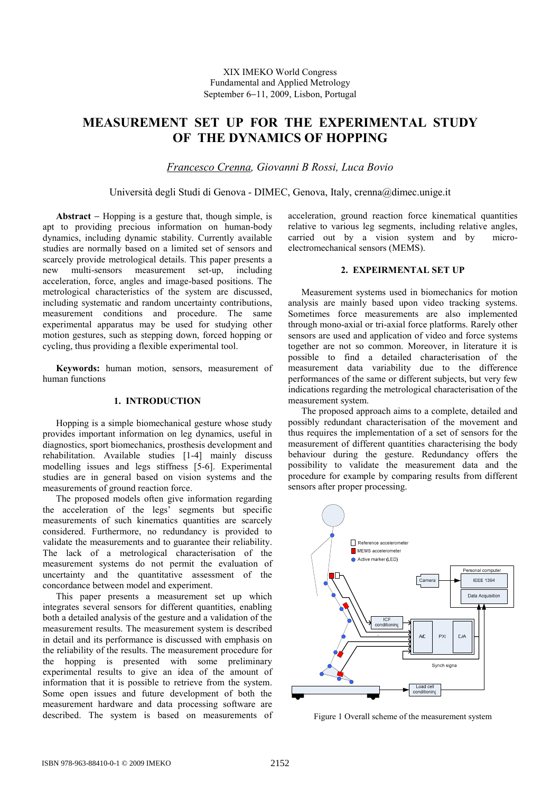# **MEASUREMENT SET UP FOR THE EXPERIMENTAL STUDY OF THE DYNAMICS OF HOPPING**

*Francesco Crenna, Giovanni B Rossi, Luca Bovio* 

Università degli Studi di Genova - DIMEC, Genova, Italy, crenna@dimec.unige.it

**Abstract** − Hopping is a gesture that, though simple, is apt to providing precious information on human-body dynamics, including dynamic stability. Currently available studies are normally based on a limited set of sensors and scarcely provide metrological details. This paper presents a new multi-sensors measurement set-up, including acceleration, force, angles and image-based positions. The metrological characteristics of the system are discussed, including systematic and random uncertainty contributions, measurement conditions and procedure. The same experimental apparatus may be used for studying other motion gestures, such as stepping down, forced hopping or cycling, thus providing a flexible experimental tool.

**Keywords:** human motion, sensors, measurement of human functions

# **1. INTRODUCTION**

Hopping is a simple biomechanical gesture whose study provides important information on leg dynamics, useful in diagnostics, sport biomechanics, prosthesis development and rehabilitation. Available studies [1-4] mainly discuss modelling issues and legs stiffness [5-6]. Experimental studies are in general based on vision systems and the measurements of ground reaction force.

The proposed models often give information regarding the acceleration of the legs' segments but specific measurements of such kinematics quantities are scarcely considered. Furthermore, no redundancy is provided to validate the measurements and to guarantee their reliability. The lack of a metrological characterisation of the measurement systems do not permit the evaluation of uncertainty and the quantitative assessment of the concordance between model and experiment.

This paper presents a measurement set up which integrates several sensors for different quantities, enabling both a detailed analysis of the gesture and a validation of the measurement results. The measurement system is described in detail and its performance is discussed with emphasis on the reliability of the results. The measurement procedure for the hopping is presented with some preliminary experimental results to give an idea of the amount of information that it is possible to retrieve from the system. Some open issues and future development of both the measurement hardware and data processing software are described. The system is based on measurements of acceleration, ground reaction force kinematical quantities relative to various leg segments, including relative angles, carried out by a vision system and by microelectromechanical sensors (MEMS).

# **2. EXPEIRMENTAL SET UP**

Measurement systems used in biomechanics for motion analysis are mainly based upon video tracking systems. Sometimes force measurements are also implemented through mono-axial or tri-axial force platforms. Rarely other sensors are used and application of video and force systems together are not so common. Moreover, in literature it is possible to find a detailed characterisation of the measurement data variability due to the difference performances of the same or different subjects, but very few indications regarding the metrological characterisation of the measurement system.

The proposed approach aims to a complete, detailed and possibly redundant characterisation of the movement and thus requires the implementation of a set of sensors for the measurement of different quantities characterising the body behaviour during the gesture. Redundancy offers the possibility to validate the measurement data and the procedure for example by comparing results from different sensors after proper processing.



Figure 1 Overall scheme of the measurement system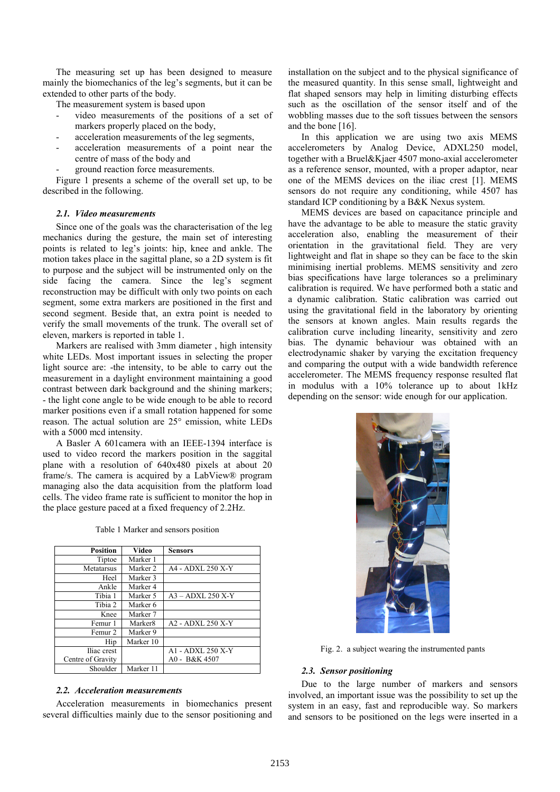The measuring set up has been designed to measure mainly the biomechanics of the leg's segments, but it can be extended to other parts of the body.

The measurement system is based upon

- video measurements of the positions of a set of markers properly placed on the body,
- acceleration measurements of the leg segments,
- acceleration measurements of a point near the centre of mass of the body and
- ground reaction force measurements.

Figure 1 presents a scheme of the overall set up, to be described in the following.

### *2.1. Video measurements*

Since one of the goals was the characterisation of the leg mechanics during the gesture, the main set of interesting points is related to leg's joints: hip, knee and ankle. The motion takes place in the sagittal plane, so a 2D system is fit to purpose and the subject will be instrumented only on the side facing the camera. Since the leg's segment reconstruction may be difficult with only two points on each segment, some extra markers are positioned in the first and second segment. Beside that, an extra point is needed to verify the small movements of the trunk. The overall set of eleven, markers is reported in table 1.

Markers are realised with 3mm diameter , high intensity white LEDs. Most important issues in selecting the proper light source are: -the intensity, to be able to carry out the measurement in a daylight environment maintaining a good contrast between dark background and the shining markers; - the light cone angle to be wide enough to be able to record marker positions even if a small rotation happened for some reason. The actual solution are 25° emission, white LEDs with a 5000 mcd intensity.

A Basler A 601camera with an IEEE-1394 interface is used to video record the markers position in the saggital plane with a resolution of 640x480 pixels at about 20 frame/s. The camera is acquired by a LabView® program managing also the data acquisition from the platform load cells. The video frame rate is sufficient to monitor the hop in the place gesture paced at a fixed frequency of 2.2Hz.

| <b>Position</b>   | Video               | <b>Sensors</b>      |
|-------------------|---------------------|---------------------|
| Tiptoe            | Marker 1            |                     |
| Metatarsus        | Marker 2            | A4 - ADXL 250 X-Y   |
| Heel              | Marker 3            |                     |
| Ankle             | Marker 4            |                     |
| Tibia 1           | Marker 5            | $A3 - ADXL 250 X-Y$ |
| Tibia 2           | Marker 6            |                     |
| Knee              | Marker 7            |                     |
| Femur 1           | Marker <sup>8</sup> | A2 - ADXL 250 X-Y   |
| Femur 2           | Marker 9            |                     |
| Hip               | Marker 10           |                     |
| Iliac crest       |                     | A1 - ADXL 250 X-Y   |
| Centre of Gravity |                     | A0 - B&K 4507       |
| Shoulder          | Marker 11           |                     |

Table 1 Marker and sensors position

### *2.2. Acceleration measurements*

Acceleration measurements in biomechanics present several difficulties mainly due to the sensor positioning and installation on the subject and to the physical significance of the measured quantity. In this sense small, lightweight and flat shaped sensors may help in limiting disturbing effects such as the oscillation of the sensor itself and of the wobbling masses due to the soft tissues between the sensors and the bone [16].

In this application we are using two axis MEMS accelerometers by Analog Device, ADXL250 model, together with a Bruel&Kjaer 4507 mono-axial accelerometer as a reference sensor, mounted, with a proper adaptor, near one of the MEMS devices on the iliac crest [1]. MEMS sensors do not require any conditioning, while 4507 has standard ICP conditioning by a B&K Nexus system.

MEMS devices are based on capacitance principle and have the advantage to be able to measure the static gravity acceleration also, enabling the measurement of their orientation in the gravitational field. They are very lightweight and flat in shape so they can be face to the skin minimising inertial problems. MEMS sensitivity and zero bias specifications have large tolerances so a preliminary calibration is required. We have performed both a static and a dynamic calibration. Static calibration was carried out using the gravitational field in the laboratory by orienting the sensors at known angles. Main results regards the calibration curve including linearity, sensitivity and zero bias. The dynamic behaviour was obtained with an electrodynamic shaker by varying the excitation frequency and comparing the output with a wide bandwidth reference accelerometer. The MEMS frequency response resulted flat in modulus with a 10% tolerance up to about 1kHz depending on the sensor: wide enough for our application.



Fig. 2. a subject wearing the instrumented pants

### *2.3. Sensor positioning*

Due to the large number of markers and sensors involved, an important issue was the possibility to set up the system in an easy, fast and reproducible way. So markers and sensors to be positioned on the legs were inserted in a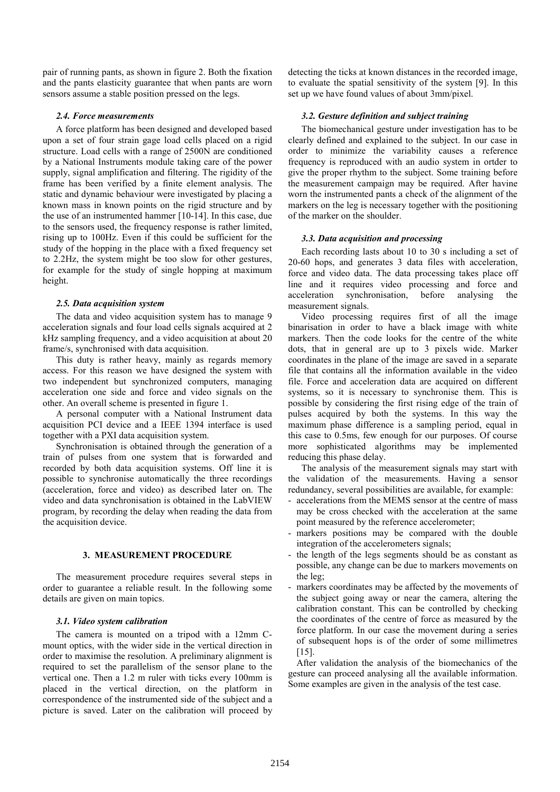pair of running pants, as shown in figure 2. Both the fixation and the pants elasticity guarantee that when pants are worn sensors assume a stable position pressed on the legs.

## *2.4. Force measurements*

A force platform has been designed and developed based upon a set of four strain gage load cells placed on a rigid structure. Load cells with a range of 2500N are conditioned by a National Instruments module taking care of the power supply, signal amplification and filtering. The rigidity of the frame has been verified by a finite element analysis. The static and dynamic behaviour were investigated by placing a known mass in known points on the rigid structure and by the use of an instrumented hammer [10-14]. In this case, due to the sensors used, the frequency response is rather limited, rising up to 100Hz. Even if this could be sufficient for the study of the hopping in the place with a fixed frequency set to 2.2Hz, the system might be too slow for other gestures, for example for the study of single hopping at maximum height.

### *2.5. Data acquisition system*

The data and video acquisition system has to manage 9 acceleration signals and four load cells signals acquired at 2 kHz sampling frequency, and a video acquisition at about 20 frame/s, synchronised with data acquisition.

This duty is rather heavy, mainly as regards memory access. For this reason we have designed the system with two independent but synchronized computers, managing acceleration one side and force and video signals on the other. An overall scheme is presented in figure 1.

A personal computer with a National Instrument data acquisition PCI device and a IEEE 1394 interface is used together with a PXI data acquisition system.

Synchronisation is obtained through the generation of a train of pulses from one system that is forwarded and recorded by both data acquisition systems. Off line it is possible to synchronise automatically the three recordings (acceleration, force and video) as described later on. The video and data synchronisation is obtained in the LabVIEW program, by recording the delay when reading the data from the acquisition device.

## **3. MEASUREMENT PROCEDURE**

The measurement procedure requires several steps in order to guarantee a reliable result. In the following some details are given on main topics.

## *3.1. Video system calibration*

The camera is mounted on a tripod with a 12mm Cmount optics, with the wider side in the vertical direction in order to maximise the resolution. A preliminary alignment is required to set the parallelism of the sensor plane to the vertical one. Then a 1.2 m ruler with ticks every 100mm is placed in the vertical direction, on the platform in correspondence of the instrumented side of the subject and a picture is saved. Later on the calibration will proceed by detecting the ticks at known distances in the recorded image, to evaluate the spatial sensitivity of the system [9]. In this set up we have found values of about 3mm/pixel.

## *3.2. Gesture definition and subject training*

The biomechanical gesture under investigation has to be clearly defined and explained to the subject. In our case in order to minimize the variability causes a reference frequency is reproduced with an audio system in ortder to give the proper rhythm to the subject. Some training before the measurement campaign may be required. After havine worn the instrumented pants a check of the alignment of the markers on the leg is necessary together with the positioning of the marker on the shoulder.

### *3.3. Data acquisition and processing*

Each recording lasts about 10 to 30 s including a set of 20-60 hops, and generates 3 data files with acceleration, force and video data. The data processing takes place off line and it requires video processing and force and acceleration synchronisation, before analysing the measurement signals.

Video processing requires first of all the image binarisation in order to have a black image with white markers. Then the code looks for the centre of the white dots, that in general are up to 3 pixels wide. Marker coordinates in the plane of the image are saved in a separate file that contains all the information available in the video file. Force and acceleration data are acquired on different systems, so it is necessary to synchronise them. This is possible by considering the first rising edge of the train of pulses acquired by both the systems. In this way the maximum phase difference is a sampling period, equal in this case to 0.5ms, few enough for our purposes. Of course more sophisticated algorithms may be implemented reducing this phase delay.

The analysis of the measurement signals may start with the validation of the measurements. Having a sensor redundancy, several possibilities are available, for example:

- accelerations from the MEMS sensor at the centre of mass may be cross checked with the acceleration at the same point measured by the reference accelerometer;
- markers positions may be compared with the double integration of the accelerometers signals;
- the length of the legs segments should be as constant as possible, any change can be due to markers movements on the leg;
- markers coordinates may be affected by the movements of the subject going away or near the camera, altering the calibration constant. This can be controlled by checking the coordinates of the centre of force as measured by the force platform. In our case the movement during a series of subsequent hops is of the order of some millimetres [15].

After validation the analysis of the biomechanics of the gesture can proceed analysing all the available information. Some examples are given in the analysis of the test case.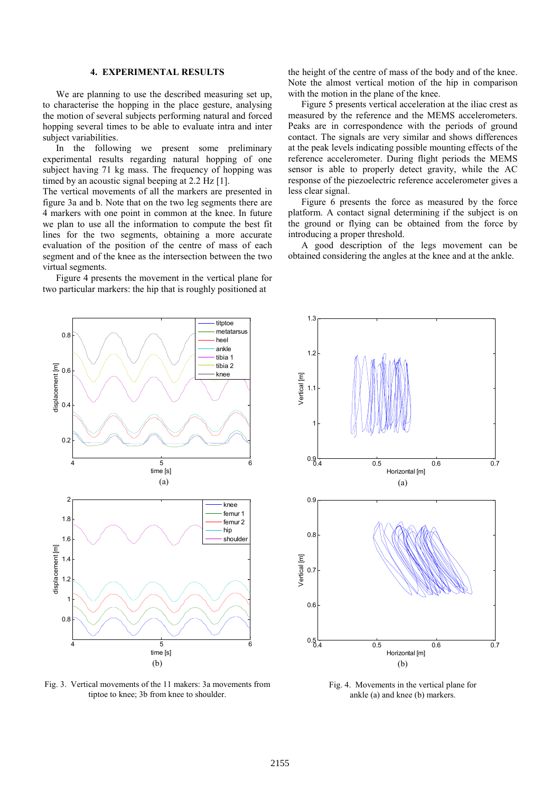# **4. EXPERIMENTAL RESULTS**

We are planning to use the described measuring set up, to characterise the hopping in the place gesture, analysing the motion of several subjects performing natural and forced hopping several times to be able to evaluate intra and inter subject variabilities.

In the following we present some preliminary experimental results regarding natural hopping of one subject having 71 kg mass. The frequency of hopping was timed by an acoustic signal beeping at 2.2 Hz [1].

The vertical movements of all the markers are presented in figure 3a and b. Note that on the two leg segments there are 4 markers with one point in common at the knee. In future we plan to use all the information to compute the best fit lines for the two segments, obtaining a more accurate evaluation of the position of the centre of mass of each segment and of the knee as the intersection between the two virtual segments.

Figure 4 presents the movement in the vertical plane for two particular markers: the hip that is roughly positioned at

the height of the centre of mass of the body and of the knee. Note the almost vertical motion of the hip in comparison with the motion in the plane of the knee.

Figure 5 presents vertical acceleration at the iliac crest as measured by the reference and the MEMS accelerometers. Peaks are in correspondence with the periods of ground contact. The signals are very similar and shows differences at the peak levels indicating possible mounting effects of the reference accelerometer. During flight periods the MEMS sensor is able to properly detect gravity, while the AC response of the piezoelectric reference accelerometer gives a less clear signal.

Figure 6 presents the force as measured by the force platform. A contact signal determining if the subject is on the ground or flying can be obtained from the force by introducing a proper threshold.

A good description of the legs movement can be obtained considering the angles at the knee and at the ankle.



/ertical [m] Vertical [m] 1.1 1  $0.9 - 0.4$ 0.4 0.5 0.6 0.7 Horizontal [m] (a) 0.9 0.8 Vertical [m] Vertical [m]  $0.7$  $0.6$  $0.5 - 0.4$ 0.4 0.5 0.6 0.7 Horizontal [m] (b)

Fig. 3. Vertical movements of the 11 makers: 3a movements from tiptoe to knee; 3b from knee to shoulder.

Fig. 4. Movements in the vertical plane for ankle (a) and knee (b) markers.

 $1.2$ 

1.3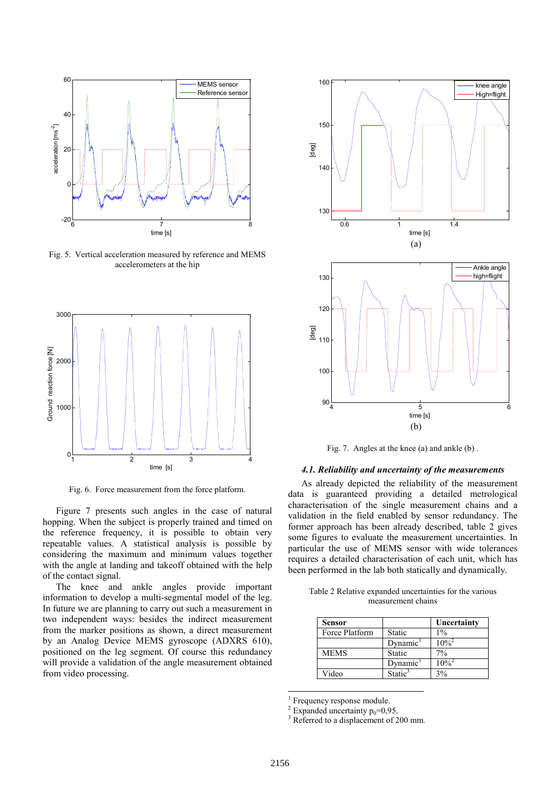

Fig. 5. Vertical acceleration measured by reference and MEMS accelerometers at the hip



Fig. 6. Force measurement from the force platform.

Figure 7 presents such angles in the case of natural hopping. When the subject is properly trained and timed on the reference frequency, it is possible to obtain very repeatable values. A statistical analysis is possible by considering the maximum and minimum values together with the angle at landing and takeoff obtained with the help of the contact signal.

The knee and ankle angles provide important information to develop a multi-segmental model of the leg. In future we are planning to carry out such a measurement in two independent ways: besides the indirect measurement from the marker positions as shown, a direct measurement by an Analog Device MEMS gyroscope (ADXRS 610), positioned on the leg segment. Of course this redundancy will provide a validation of the angle measurement obtained from video processing.



Fig. 7. Angles at the knee (a) and ankle (b) .

# *4.1. Reliability and uncertainty of the measurements*

As already depicted the reliability of the measurement data is guaranteed providing a detailed metrological characterisation of the single measurement chains and a validation in the field enabled by sensor redundancy. The former approach has been already described, table 2 gives some figures to evaluate the measurement uncertainties. In particular the use of MEMS sensor with wide tolerances requires a detailed characterisation of each unit, which has been performed in the lab both statically and dynamically.

| Table 2 Relative expanded uncertainties for the various |                    |  |  |
|---------------------------------------------------------|--------------------|--|--|
|                                                         | measurement chains |  |  |

| Sensor         |                     | Uncertainty         |
|----------------|---------------------|---------------------|
| Force Platform | Static              | $1\%$               |
|                | Dynamic             | $10\%^{2}$          |
| <b>MEMS</b>    | Static              | 7%                  |
|                | Dynamic             | $10\%$ <sup>2</sup> |
| Video          | Static <sup>3</sup> | 3%                  |

<sup>1</sup> Frequency response module.

<sup>2</sup> Expanded uncertainty  $p_0=0.95$ .

<sup>3</sup> Referred to a displacement of 200 mm.

l